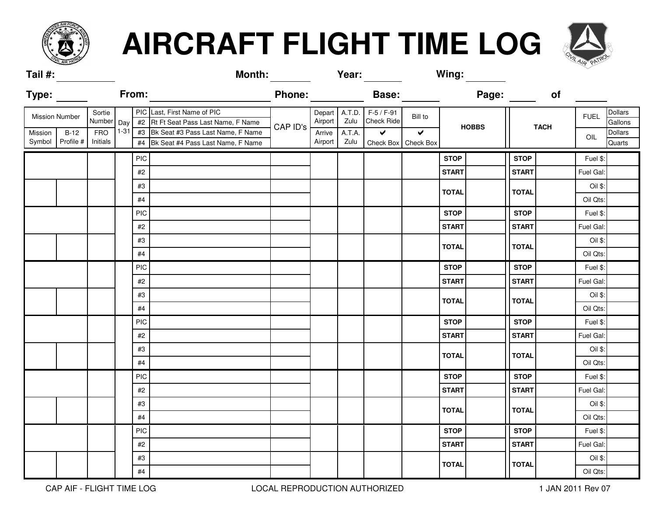

## **AIRCRAFT FLIGHT TIME LOG**



| Tail #:                                       |                            |                        |                                                                     |                                                                                   | <b>Month:</b> |                   | Year:                                       |                                             | Wing:        |              |             |              |             |                           |                          |
|-----------------------------------------------|----------------------------|------------------------|---------------------------------------------------------------------|-----------------------------------------------------------------------------------|---------------|-------------------|---------------------------------------------|---------------------------------------------|--------------|--------------|-------------|--------------|-------------|---------------------------|--------------------------|
| <b>Type:</b>                                  |                            |                        | From:                                                               |                                                                                   | <b>Phone:</b> |                   |                                             | <b>Base:</b>                                |              |              | Page:       |              | of          |                           |                          |
| Sortie<br><b>Mission Number</b><br>Number Day |                            |                        | PIC Last, First Name of PIC<br>#2 Rt Ft Seat Pass Last Name, F Name | CAP ID's                                                                          | Airport       |                   | Depart A.T.D. F-5 / F-91<br>Zulu Check Ride | Bill to<br>$\sqrt{2}$                       | <b>HOBBS</b> |              | <b>TACH</b> |              | <b>FUEL</b> | <b>Dollars</b><br>Gallons |                          |
| Mission                                       | $B-12$<br>Symbol Profile # | <b>FRO</b><br>Initials |                                                                     | 1-31 #3 Bk Seat #3 Pass Last Name, F Name<br>#4 Bk Seat #4 Pass Last Name, F Name |               | Arrive<br>Airport | A.T.A.<br>Zulu                              | $\blacktriangledown$<br>Check Box Check Box |              |              |             |              |             | OIL                       | <b>Dollars</b><br>Quarts |
|                                               |                            |                        | PIC                                                                 |                                                                                   |               |                   |                                             |                                             |              | <b>STOP</b>  |             | <b>STOP</b>  |             | Fuel \$:                  |                          |
|                                               |                            |                        | #2                                                                  |                                                                                   |               |                   |                                             |                                             |              | <b>START</b> |             | <b>START</b> |             | Fuel Gal:                 |                          |
|                                               |                            |                        | #3                                                                  |                                                                                   |               |                   |                                             |                                             |              | <b>TOTAL</b> |             | <b>TOTAL</b> |             | Oil \$:                   |                          |
|                                               |                            |                        | $\#4$                                                               |                                                                                   |               |                   |                                             |                                             |              |              |             |              |             | Oil Qts:                  |                          |
|                                               |                            |                        | <b>PIC</b>                                                          |                                                                                   |               |                   |                                             |                                             |              | <b>STOP</b>  |             | <b>STOP</b>  |             | Fuel \$:                  |                          |
|                                               |                            |                        | $\#2$                                                               |                                                                                   |               |                   |                                             |                                             |              | <b>START</b> |             | <b>START</b> |             | Fuel Gal:                 |                          |
|                                               |                            |                        | #3                                                                  |                                                                                   |               |                   |                                             |                                             |              | <b>TOTAL</b> |             | <b>TOTAL</b> |             | Oil \$:                   |                          |
|                                               |                            |                        | #4                                                                  |                                                                                   |               |                   |                                             |                                             |              |              |             |              |             | Oil Qts:                  |                          |
|                                               |                            |                        | <b>PIC</b>                                                          |                                                                                   |               |                   |                                             |                                             |              | <b>STOP</b>  |             | <b>STOP</b>  |             | Fuel \$:                  |                          |
|                                               |                            |                        | $\#2$                                                               |                                                                                   |               |                   |                                             |                                             |              | <b>START</b> |             | <b>START</b> |             | Fuel Gal:                 |                          |
|                                               |                            |                        | #3                                                                  |                                                                                   |               |                   |                                             |                                             |              | <b>TOTAL</b> |             | <b>TOTAL</b> |             | Oil \$:                   |                          |
|                                               |                            |                        | $\#4$                                                               |                                                                                   |               |                   |                                             |                                             |              |              |             |              |             | Oil Qts:                  |                          |
|                                               |                            |                        | <b>PIC</b>                                                          |                                                                                   |               |                   |                                             |                                             |              | <b>STOP</b>  |             | <b>STOP</b>  |             | Fuel \$:                  |                          |
|                                               |                            |                        | #2                                                                  |                                                                                   |               |                   |                                             |                                             |              | <b>START</b> |             | <b>START</b> |             | Fuel Gal:                 |                          |
|                                               |                            |                        | #3                                                                  |                                                                                   |               |                   |                                             |                                             |              | <b>TOTAL</b> |             | <b>TOTAL</b> |             | Oil \$:                   |                          |
|                                               |                            |                        | $\#4$                                                               |                                                                                   |               |                   |                                             |                                             |              |              |             |              |             | Oil Qts:                  |                          |
|                                               |                            |                        | <b>PIC</b>                                                          |                                                                                   |               |                   |                                             |                                             |              | <b>STOP</b>  |             | <b>STOP</b>  |             | Fuel \$:                  |                          |
|                                               |                            |                        | #2                                                                  |                                                                                   |               |                   |                                             |                                             |              | <b>START</b> |             | <b>START</b> |             | Fuel Gal:                 |                          |
|                                               |                            |                        | #3                                                                  |                                                                                   |               |                   |                                             |                                             |              | <b>TOTAL</b> |             | <b>TOTAL</b> |             | Oil \$:                   |                          |
|                                               |                            |                        | $\#4$                                                               |                                                                                   |               |                   |                                             |                                             |              |              |             |              |             | Oil Qts:                  |                          |
|                                               |                            |                        | <b>PIC</b>                                                          |                                                                                   |               |                   |                                             |                                             |              | <b>STOP</b>  |             | <b>STOP</b>  |             | Fuel \$:                  |                          |
|                                               |                            |                        | $\#2$                                                               |                                                                                   |               |                   |                                             |                                             |              | <b>START</b> |             | <b>START</b> |             | Fuel Gal:                 |                          |
|                                               |                            |                        | #3                                                                  |                                                                                   |               |                   |                                             |                                             |              |              |             |              |             | Oil \$:                   |                          |
|                                               |                            |                        | #4                                                                  |                                                                                   |               |                   |                                             |                                             |              | <b>TOTAL</b> |             | <b>TOTAL</b> |             | Oil Qts:                  |                          |